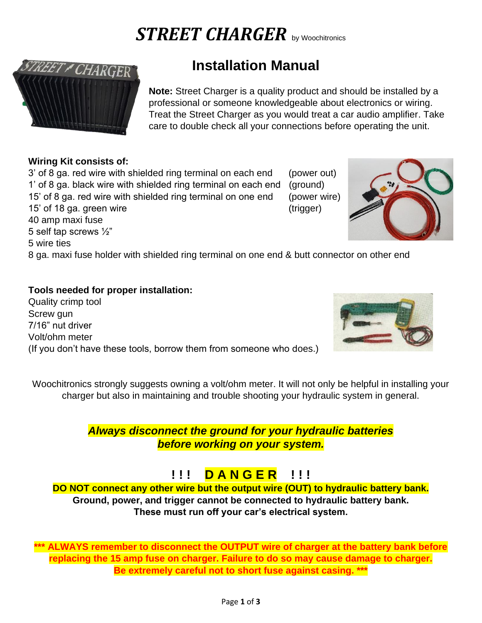# *STREET CHARGER* by Woochitronics



# **Installation Manual**

**Note:** Street Charger is a quality product and should be installed by a professional or someone knowledgeable about electronics or wiring. Treat the Street Charger as you would treat a car audio amplifier. Take care to double check all your connections before operating the unit.

### **Wiring Kit consists of:**

5 self tap screws ½"

5 wire ties

3' of 8 ga. red wire with shielded ring terminal on each end (power out) 1' of 8 ga. black wire with shielded ring terminal on each end (ground) 15' of 8 ga. red wire with shielded ring terminal on one end (power wire) 15' of 18 ga. green wire (trigger) 40 amp maxi fuse



8 ga. maxi fuse holder with shielded ring terminal on one end & butt connector on other end

# **Tools needed for proper installation:**

Quality crimp tool Screw gun 7/16" nut driver Volt/ohm meter (If you don't have these tools, borrow them from someone who does.)



Woochitronics strongly suggests owning a volt/ohm meter. It will not only be helpful in installing your charger but also in maintaining and trouble shooting your hydraulic system in general.

> *Always disconnect the ground for your hydraulic batteries before working on your system.*

# **! ! ! D A N G E R ! ! !**

**DO NOT connect any other wire but the output wire (OUT) to hydraulic battery bank. Ground, power, and trigger cannot be connected to hydraulic battery bank. These must run off your car's electrical system.**

**\*\*\* ALWAYS remember to disconnect the OUTPUT wire of charger at the battery bank before replacing the 15 amp fuse on charger. Failure to do so may cause damage to charger. Be extremely careful not to short fuse against casing. \*\*\***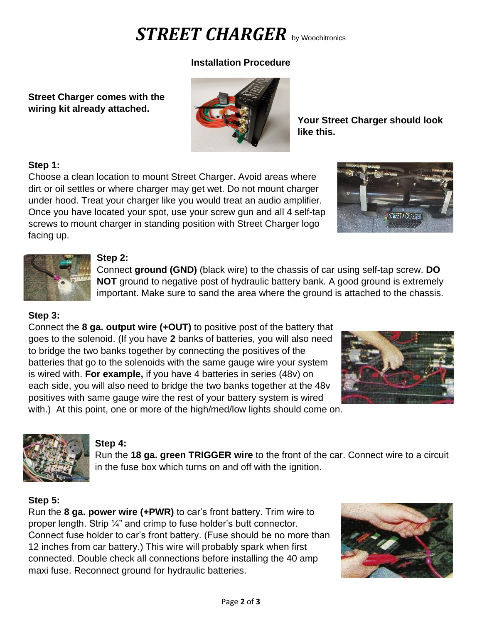# *STREET CHARGER* by Woochitronics

## **Installation Procedure**

**Street Charger comes with the wiring kit already attached.**



**Your Street Charger should look like this.**

#### **Step 1:**

Choose a clean location to mount Street Charger. Avoid areas where dirt or oil settles or where charger may get wet. Do not mount charger under hood. Treat your charger like you would treat an audio amplifier. Once you have located your spot, use your screw gun and all 4 self-tap screws to mount charger in standing position with Street Charger logo facing up.





#### **Step 2:**

Connect **ground (GND)** (black wire) to the chassis of car using self-tap screw. **DO NOT** ground to negative post of hydraulic battery bank. A good ground is extremely important. Make sure to sand the area where the ground is attached to the chassis.

## **Step 3:**

Connect the **8 ga. output wire (+OUT)** to positive post of the battery that goes to the solenoid. (If you have **2** banks of batteries, you will also need to bridge the two banks together by connecting the positives of the batteries that go to the solenoids with the same gauge wire your system is wired with. **For example,** if you have 4 batteries in series (48v) on each side, you will also need to bridge the two banks together at the 48v positives with same gauge wire the rest of your battery system is wired with.) At this point, one or more of the high/med/low lights should come on.





### **Step 4:**

Run the **18 ga. green TRIGGER wire** to the front of the car. Connect wire to a circuit in the fuse box which turns on and off with the ignition.

# **Step 5:**

Run the **8 ga. power wire (+PWR)** to car's front battery. Trim wire to proper length. Strip ¼" and crimp to fuse holder's butt connector. Connect fuse holder to car's front battery. (Fuse should be no more than 12 inches from car battery.) This wire will probably spark when first connected. Double check all connections before installing the 40 amp maxi fuse. Reconnect ground for hydraulic batteries.